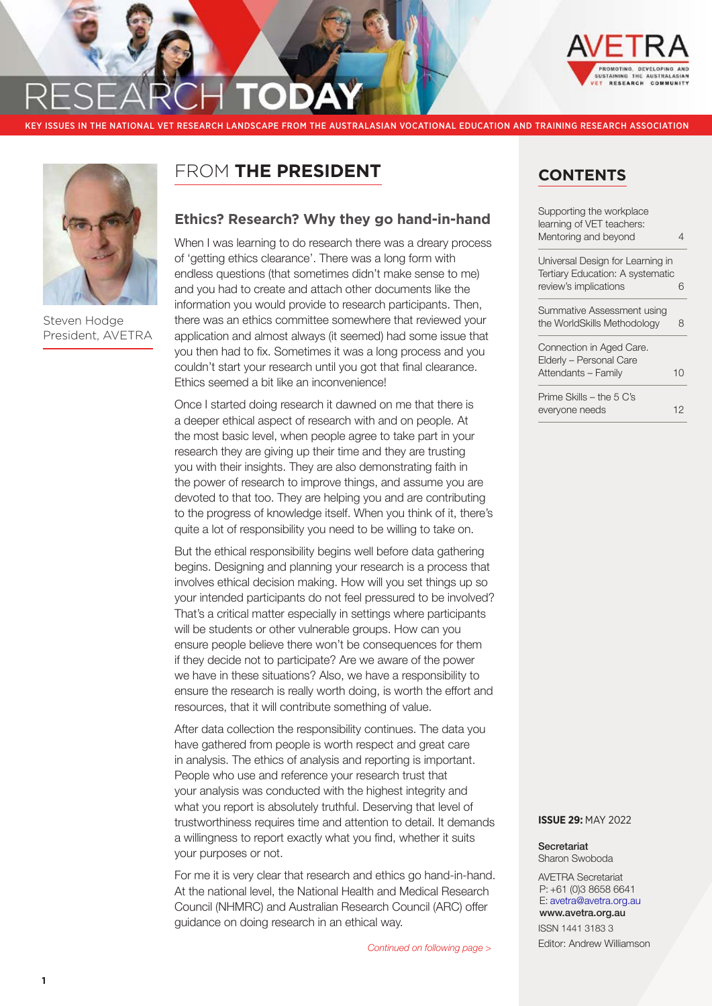



Steven Hodge President, AVETRA

## FROM **THE PRESIDENT**

## **Ethics? Research? Why they go hand-in-hand**

When I was learning to do research there was a dreary process of 'getting ethics clearance'. There was a long form with endless questions (that sometimes didn't make sense to me) and you had to create and attach other documents like the information you would provide to research participants. Then, there was an ethics committee somewhere that reviewed your application and almost always (it seemed) had some issue that you then had to fix. Sometimes it was a long process and you couldn't start your research until you got that final clearance. Ethics seemed a bit like an inconvenience!

Once I started doing research it dawned on me that there is a deeper ethical aspect of research with and on people. At the most basic level, when people agree to take part in your research they are giving up their time and they are trusting you with their insights. They are also demonstrating faith in the power of research to improve things, and assume you are devoted to that too. They are helping you and are contributing to the progress of knowledge itself. When you think of it, there's quite a lot of responsibility you need to be willing to take on.

But the ethical responsibility begins well before data gathering begins. Designing and planning your research is a process that involves ethical decision making. How will you set things up so your intended participants do not feel pressured to be involved? That's a critical matter especially in settings where participants will be students or other vulnerable groups. How can you ensure people believe there won't be consequences for them if they decide not to participate? Are we aware of the power we have in these situations? Also, we have a responsibility to ensure the research is really worth doing, is worth the effort and resources, that it will contribute something of value.

After data collection the responsibility continues. The data you have gathered from people is worth respect and great care in analysis. The ethics of analysis and reporting is important. People who use and reference your research trust that your analysis was conducted with the highest integrity and what you report is absolutely truthful. Deserving that level of trustworthiness requires time and attention to detail. It demands a willingness to report exactly what you find, whether it suits your purposes or not.

For me it is very clear that research and ethics go hand-in-hand. At the national level, the National Health and Medical Research Council (NHMRC) and Australian Research Council (ARC) offer guidance on doing research in an ethical way.

## **CONTENTS**

| Supporting the workplace<br>learning of VET teachers:<br>Mentoring and beyond |    |
|-------------------------------------------------------------------------------|----|
| Universal Design for Learning in<br>Tertiary Education: A systematic          |    |
| review's implications                                                         | 6  |
| Summative Assessment using<br>the WorldSkills Methodology                     | 8  |
| Connection in Aged Care.<br>Elderly - Personal Care                           |    |
| Attendants - Family                                                           | 10 |
| Prime Skills - the 5 C's<br>everyone needs                                    | 12 |
|                                                                               |    |

#### **ISSUE 29:** MAY 2022

Secretariat Sharon Swoboda

AVETRA Secretariat P: +61 (0)3 8658 6641 E: [avetra@avetra.org.au](mailto:avetra@avetra.org.au) [www.avetra.org.au](http://www.avetra.org.au)

ISSN 1441 3183 3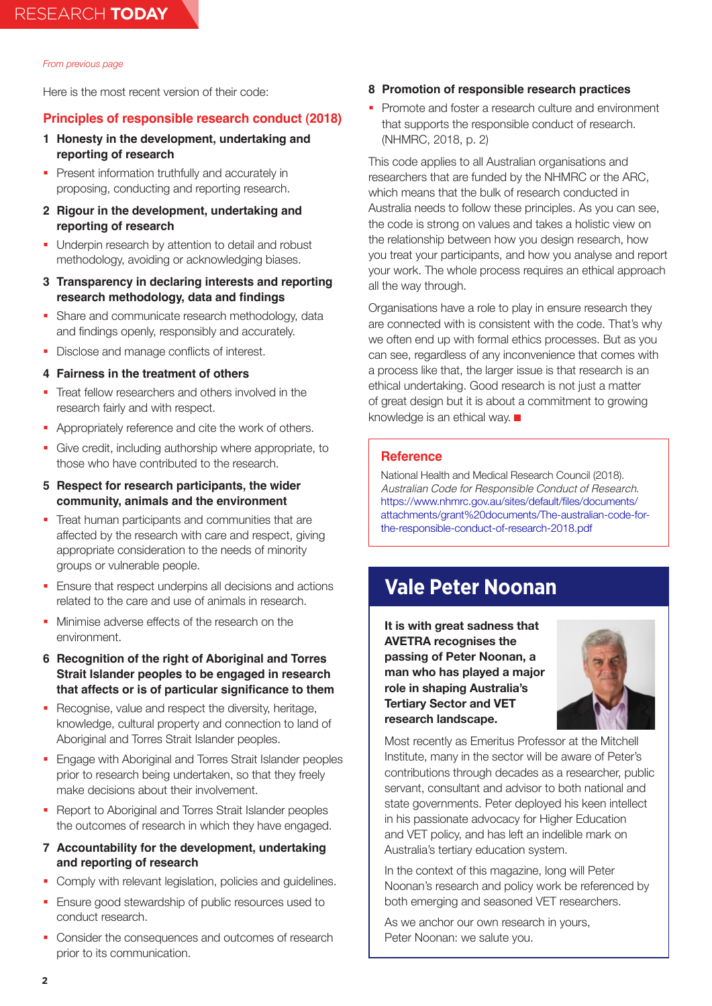Here is the most recent version of their code:

## **Principles of responsible research conduct (2018)**

- **1 Honesty in the development, undertaking and reporting of research**
- **Present information truthfully and accurately in** proposing, conducting and reporting research.
- **2 Rigour in the development, undertaking and reporting of research**
- Underpin research by attention to detail and robust methodology, avoiding or acknowledging biases.
- **3 Transparency in declaring interests and reporting research methodology, data and findings**
- Share and communicate research methodology, data and findings openly, responsibly and accurately.
- Disclose and manage conflicts of interest.

### **4 Fairness in the treatment of others**

- Treat fellow researchers and others involved in the research fairly and with respect.
- **Appropriately reference and cite the work of others.**
- Give credit, including authorship where appropriate, to those who have contributed to the research.
- **5 Respect for research participants, the wider community, animals and the environment**
- Treat human participants and communities that are affected by the research with care and respect, giving appropriate consideration to the needs of minority groups or vulnerable people.
- **Ensure that respect underpins all decisions and actions** related to the care and use of animals in research.
- Minimise adverse effects of the research on the environment.
- **6 Recognition of the right of Aboriginal and Torres Strait Islander peoples to be engaged in research that affects or is of particular significance to them**
- Recognise, value and respect the diversity, heritage, knowledge, cultural property and connection to land of Aboriginal and Torres Strait Islander peoples.
- **Engage with Aboriginal and Torres Strait Islander peoples** prior to research being undertaken, so that they freely make decisions about their involvement.
- Report to Aboriginal and Torres Strait Islander peoples the outcomes of research in which they have engaged.
- **7 Accountability for the development, undertaking and reporting of research**
- Comply with relevant legislation, policies and guidelines.
- **Ensure good stewardship of public resources used to** conduct research.
- Consider the consequences and outcomes of research prior to its communication.

### **8 Promotion of responsible research practices**

**Promote and foster a research culture and environment** that supports the responsible conduct of research. (NHMRC, 2018, p. 2)

This code applies to all Australian organisations and researchers that are funded by the NHMRC or the ARC, which means that the bulk of research conducted in Australia needs to follow these principles. As you can see, the code is strong on values and takes a holistic view on the relationship between how you design research, how you treat your participants, and how you analyse and report your work. The whole process requires an ethical approach all the way through.

Organisations have a role to play in ensure research they are connected with is consistent with the code. That's why we often end up with formal ethics processes. But as you can see, regardless of any inconvenience that comes with a process like that, the larger issue is that research is an ethical undertaking. Good research is not just a matter of great design but it is about a commitment to growing knowledge is an ethical way.

### **Reference**

National Health and Medical Research Council (2018). *Australian Code for Responsible Conduct of Research*. [https://www.nhmrc.gov.au/sites/default/files/documents/](https://www.nhmrc.gov.au/sites/default/files/documents/attachments/grant%20documents/The-australian-code-for-the-responsible-conduct-of-research-2018.pdf) [attachments/grant%20documents/The-australian-code-for](https://www.nhmrc.gov.au/sites/default/files/documents/attachments/grant%20documents/The-australian-code-for-the-responsible-conduct-of-research-2018.pdf)[the-responsible-conduct-of-research-2018.pdf](https://www.nhmrc.gov.au/sites/default/files/documents/attachments/grant%20documents/The-australian-code-for-the-responsible-conduct-of-research-2018.pdf)

## **Vale Peter Noonan**

**It is with great sadness that AVETRA recognises the passing of Peter Noonan, a man who has played a major role in shaping Australia's Tertiary Sector and VET research landscape.**



Most recently as Emeritus Professor at the Mitchell Institute, many in the sector will be aware of Peter's contributions through decades as a researcher, public servant, consultant and advisor to both national and state governments. Peter deployed his keen intellect in his passionate advocacy for Higher Education and VET policy, and has left an indelible mark on Australia's tertiary education system.

In the context of this magazine, long will Peter Noonan's research and policy work be referenced by both emerging and seasoned VET researchers.

As we anchor our own research in yours, Peter Noonan: we salute you.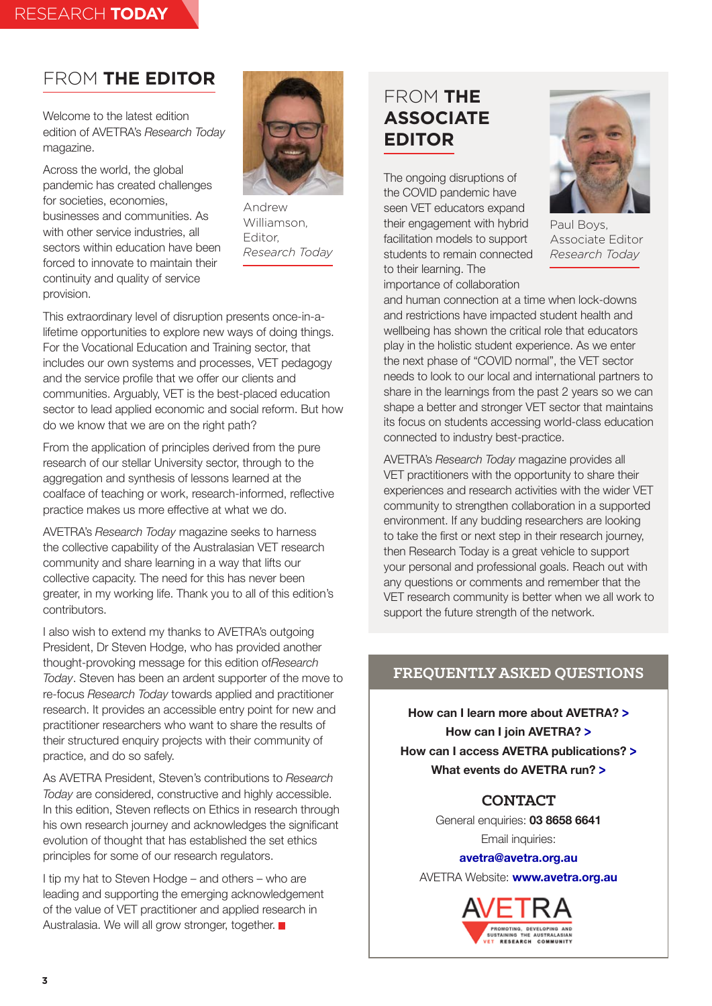## FROM **THE EDITOR**

Welcome to the latest edition edition of AVETRA's *Research Today* magazine.

Across the world, the global pandemic has created challenges for societies, economies, businesses and communities. As with other service industries, all sectors within education have been forced to innovate to maintain their continuity and quality of service provision.



Andrew Williamson, Editor, *Research Today*

This extraordinary level of disruption presents once-in-alifetime opportunities to explore new ways of doing things. For the Vocational Education and Training sector, that includes our own systems and processes, VET pedagogy and the service profile that we offer our clients and communities. Arguably, VET is the best-placed education sector to lead applied economic and social reform. But how do we know that we are on the right path?

From the application of principles derived from the pure research of our stellar University sector, through to the aggregation and synthesis of lessons learned at the coalface of teaching or work, research-informed, reflective practice makes us more effective at what we do.

AVETRA's *Research Today* magazine seeks to harness the collective capability of the Australasian VET research community and share learning in a way that lifts our collective capacity. The need for this has never been greater, in my working life. Thank you to all of this edition's contributors.

I also wish to extend my thanks to AVETRA's outgoing President, Dr Steven Hodge, who has provided another thought-provoking message for this edition of*Research Today*. Steven has been an ardent supporter of the move to re-focus *Research Today* towards applied and practitioner research. It provides an accessible entry point for new and practitioner researchers who want to share the results of their structured enquiry projects with their community of practice, and do so safely.

As AVETRA President, Steven's contributions to *Research Today* are considered, constructive and highly accessible. In this edition, Steven reflects on Ethics in research through his own research journey and acknowledges the significant evolution of thought that has established the set ethics principles for some of our research regulators.

I tip my hat to Steven Hodge – and others – who are leading and supporting the emerging acknowledgement of the value of VET practitioner and applied research in Australasia. We will all grow stronger, together.

## FROM **THE ASSOCIATE EDITOR**

The ongoing disruptions of the COVID pandemic have seen VET educators expand their engagement with hybrid facilitation models to support students to remain connected to their learning. The importance of collaboration



Paul Boys, Associate Editor *Research Today*

and human connection at a time when lock-downs and restrictions have impacted student health and wellbeing has shown the critical role that educators play in the holistic student experience. As we enter the next phase of "COVID normal", the VET sector needs to look to our local and international partners to share in the learnings from the past 2 years so we can shape a better and stronger VET sector that maintains its focus on students accessing world-class education connected to industry best-practice.

AVETRA's *Research Today* magazine provides all VET practitioners with the opportunity to share their experiences and research activities with the wider VET community to strengthen collaboration in a supported environment. If any budding researchers are looking to take the first or next step in their research journey, then Research Today is a great vehicle to support your personal and professional goals. Reach out with any questions or comments and remember that the VET research community is better when we all work to support the future strength of the network.

## **FREQUENTLY ASKED QUESTIONS**

**How can I learn more about AVETRA? [>](https://avetra.org.au/page-18148) How can I join AVETRA? [>](https://avetra.org.au/Membership-Fees) How can I access AVETRA publications? [>](https://avetra.org.au/Publications) What events do AVETRA run? [>](https://avetra.org.au/Events)**

## **CONTACT**

General enquiries: **03 8658 6641** Email inquiries:

**[avetra@avetra.org.au](mailto:avetra%40avetra.org.au?subject=)**

AVETRA Website: **[www.avetra.org.au](https://avetra.org.au)**

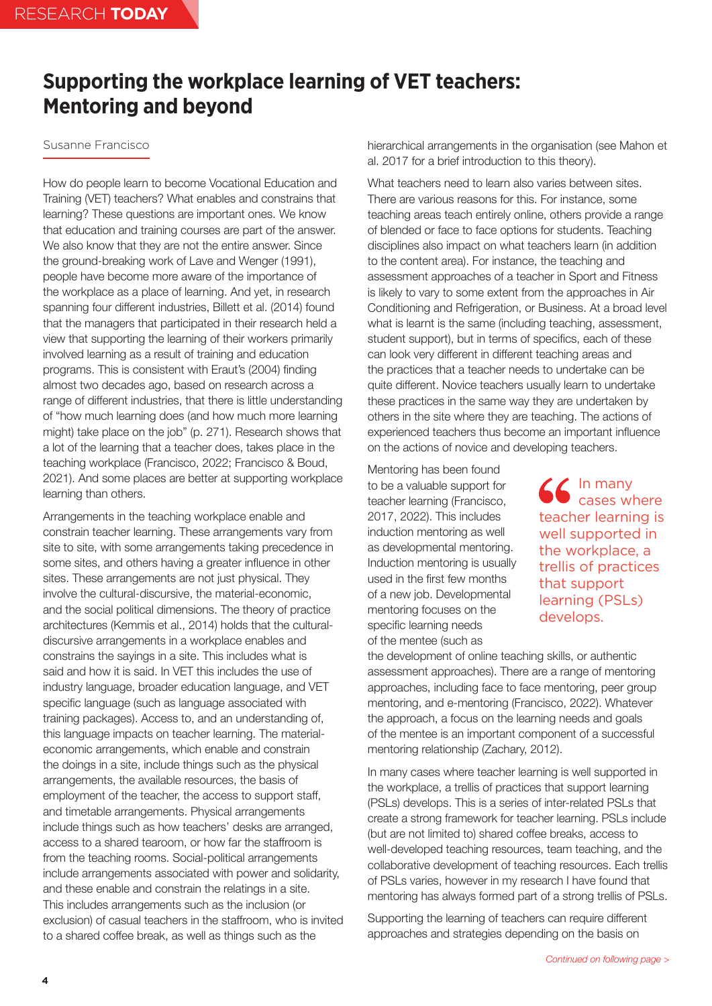# <span id="page-3-0"></span>**Supporting the workplace learning of VET teachers: Mentoring and beyond**

### Susanne Francisco

How do people learn to become Vocational Education and Training (VET) teachers? What enables and constrains that learning? These questions are important ones. We know that education and training courses are part of the answer. We also know that they are not the entire answer. Since the ground-breaking work of Lave and Wenger (1991), people have become more aware of the importance of the workplace as a place of learning. And yet, in research spanning four different industries, Billett et al. (2014) found that the managers that participated in their research held a view that supporting the learning of their workers primarily involved learning as a result of training and education programs. This is consistent with Eraut's (2004) finding almost two decades ago, based on research across a range of different industries, that there is little understanding of "how much learning does (and how much more learning might) take place on the job" (p. 271). Research shows that a lot of the learning that a teacher does, takes place in the teaching workplace (Francisco, 2022; Francisco & Boud, 2021). And some places are better at supporting workplace learning than others.

Arrangements in the teaching workplace enable and constrain teacher learning. These arrangements vary from site to site, with some arrangements taking precedence in some sites, and others having a greater influence in other sites. These arrangements are not just physical. They involve the cultural-discursive, the material-economic, and the social political dimensions. The theory of practice architectures (Kemmis et al., 2014) holds that the culturaldiscursive arrangements in a workplace enables and constrains the sayings in a site. This includes what is said and how it is said. In VET this includes the use of industry language, broader education language, and VET specific language (such as language associated with training packages). Access to, and an understanding of, this language impacts on teacher learning. The materialeconomic arrangements, which enable and constrain the doings in a site, include things such as the physical arrangements, the available resources, the basis of employment of the teacher, the access to support staff, and timetable arrangements. Physical arrangements include things such as how teachers' desks are arranged, access to a shared tearoom, or how far the staffroom is from the teaching rooms. Social-political arrangements include arrangements associated with power and solidarity, and these enable and constrain the relatings in a site. This includes arrangements such as the inclusion (or exclusion) of casual teachers in the staffroom, who is invited to a shared coffee break, as well as things such as the

hierarchical arrangements in the organisation (see Mahon et al. 2017 for a brief introduction to this theory).

What teachers need to learn also varies between sites. There are various reasons for this. For instance, some teaching areas teach entirely online, others provide a range of blended or face to face options for students. Teaching disciplines also impact on what teachers learn (in addition to the content area). For instance, the teaching and assessment approaches of a teacher in Sport and Fitness is likely to vary to some extent from the approaches in Air Conditioning and Refrigeration, or Business. At a broad level what is learnt is the same (including teaching, assessment, student support), but in terms of specifics, each of these can look very different in different teaching areas and the practices that a teacher needs to undertake can be quite different. Novice teachers usually learn to undertake these practices in the same way they are undertaken by others in the site where they are teaching. The actions of experienced teachers thus become an important influence on the actions of novice and developing teachers.

Mentoring has been found to be a valuable support for teacher learning (Francisco, 2017, 2022). This includes induction mentoring as well as developmental mentoring. Induction mentoring is usually used in the first few months of a new job. Developmental mentoring focuses on the specific learning needs of the mentee (such as

In many cases where teacher learning is well supported in the workplace, a trellis of practices that support learning (PSLs) develops.

the development of online teaching skills, or authentic assessment approaches). There are a range of mentoring approaches, including face to face mentoring, peer group mentoring, and e-mentoring (Francisco, 2022). Whatever the approach, a focus on the learning needs and goals of the mentee is an important component of a successful mentoring relationship (Zachary, 2012).

In many cases where teacher learning is well supported in the workplace, a trellis of practices that support learning (PSLs) develops. This is a series of inter-related PSLs that create a strong framework for teacher learning. PSLs include (but are not limited to) shared coffee breaks, access to well-developed teaching resources, team teaching, and the collaborative development of teaching resources. Each trellis of PSLs varies, however in my research I have found that mentoring has always formed part of a strong trellis of PSLs.

Supporting the learning of teachers can require different approaches and strategies depending on the basis on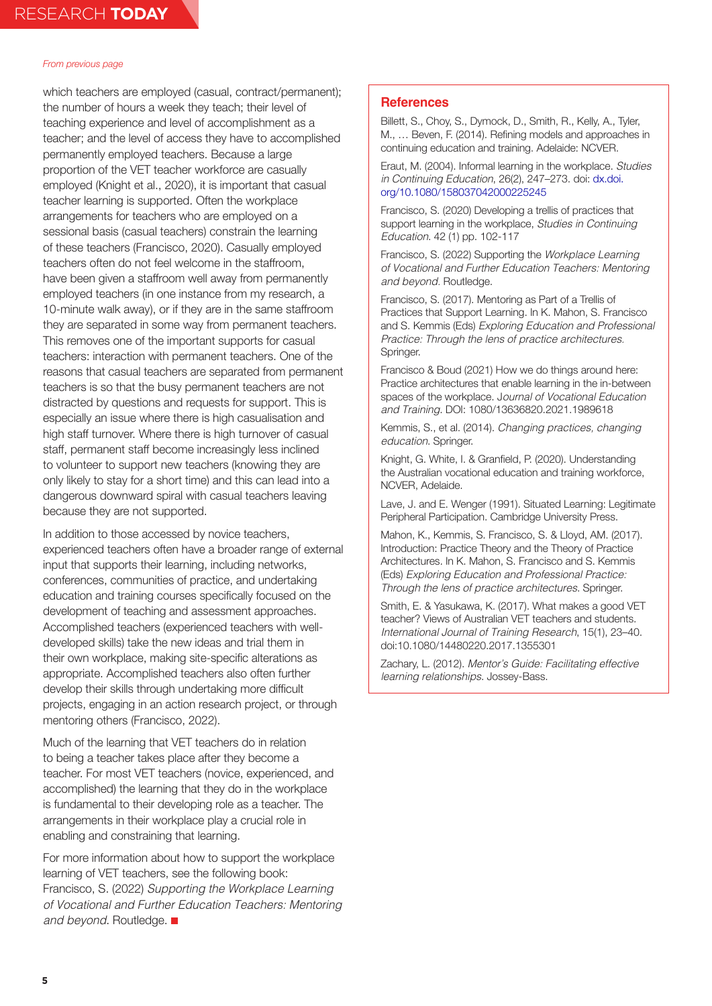which teachers are employed (casual, contract/permanent); the number of hours a week they teach; their level of teaching experience and level of accomplishment as a teacher; and the level of access they have to accomplished permanently employed teachers. Because a large proportion of the VET teacher workforce are casually employed (Knight et al., 2020), it is important that casual teacher learning is supported. Often the workplace arrangements for teachers who are employed on a sessional basis (casual teachers) constrain the learning of these teachers (Francisco, 2020). Casually employed teachers often do not feel welcome in the staffroom, have been given a staffroom well away from permanently employed teachers (in one instance from my research, a 10-minute walk away), or if they are in the same staffroom they are separated in some way from permanent teachers. This removes one of the important supports for casual teachers: interaction with permanent teachers. One of the reasons that casual teachers are separated from permanent teachers is so that the busy permanent teachers are not distracted by questions and requests for support. This is especially an issue where there is high casualisation and high staff turnover. Where there is high turnover of casual staff, permanent staff become increasingly less inclined to volunteer to support new teachers (knowing they are only likely to stay for a short time) and this can lead into a dangerous downward spiral with casual teachers leaving because they are not supported.

In addition to those accessed by novice teachers, experienced teachers often have a broader range of external input that supports their learning, including networks, conferences, communities of practice, and undertaking education and training courses specifically focused on the development of teaching and assessment approaches. Accomplished teachers (experienced teachers with welldeveloped skills) take the new ideas and trial them in their own workplace, making site-specific alterations as appropriate. Accomplished teachers also often further develop their skills through undertaking more difficult projects, engaging in an action research project, or through mentoring others (Francisco, 2022).

Much of the learning that VET teachers do in relation to being a teacher takes place after they become a teacher. For most VET teachers (novice, experienced, and accomplished) the learning that they do in the workplace is fundamental to their developing role as a teacher. The arrangements in their workplace play a crucial role in enabling and constraining that learning.

For more information about how to support the workplace learning of VET teachers, see the following book: Francisco, S. (2022) *Supporting the Workplace Learning of Vocational and Further Education Teachers: Mentoring and beyond*. Routledge.

### **References**

Billett, S., Choy, S., Dymock, D., Smith, R., Kelly, A., Tyler, M., … Beven, F. (2014). Refining models and approaches in continuing education and training. Adelaide: NCVER.

Eraut, M. (2004). Informal learning in the workplace. *Studies in Continuing Education*, 26(2), 247–273. doi: [dx.doi.](https://www.tandfonline.com/doi/full/10.1080/158037042000225245) [org/10.1080/158037042000225245](https://www.tandfonline.com/doi/full/10.1080/158037042000225245)

Francisco, S. (2020) Developing a trellis of practices that support learning in the workplace, *Studies in Continuing Education*. 42 (1) pp. 102-117

Francisco, S. (2022) Supporting the *Workplace Learning of Vocational and Further Education Teachers: Mentoring and beyond.* Routledge.

Francisco, S. (2017). Mentoring as Part of a Trellis of Practices that Support Learning. In K. Mahon, S. Francisco and S. Kemmis (Eds) *Exploring Education and Professional Practice: Through the lens of practice architectures.* Springer.

Francisco & Boud (2021) How we do things around here: Practice architectures that enable learning in the in-between spaces of the workplace. J*ournal of Vocational Education and Training*. DOI: 1080/13636820.2021.1989618

Kemmis, S., et al. (2014). *Changing practices, changing education*. Springer.

Knight, G. White, I. & Granfield, P. (2020). Understanding the Australian vocational education and training workforce, NCVER, Adelaide.

Lave, J. and E. Wenger (1991). Situated Learning: Legitimate Peripheral Participation. Cambridge University Press.

Mahon, K., Kemmis, S. Francisco, S. & Lloyd, AM. (2017). Introduction: Practice Theory and the Theory of Practice Architectures. In K. Mahon, S. Francisco and S. Kemmis (Eds) *Exploring Education and Professional Practice: Through the lens of practice architectures*. Springer.

Smith, E. & Yasukawa, K. (2017). What makes a good VET teacher? Views of Australian VET teachers and students. *International Journal of Training Research*, 15(1), 23–40. doi:10.1080/14480220.2017.1355301

Zachary, L. (2012). *Mentor's Guide: Facilitating effective learning relationships*. Jossey-Bass.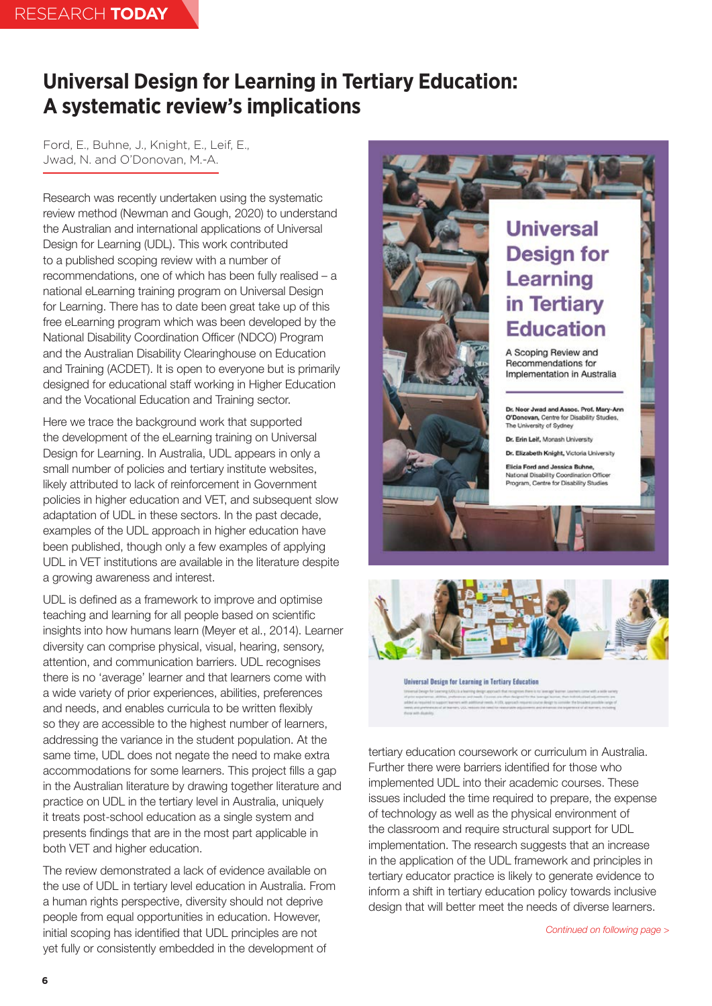# <span id="page-5-0"></span>**Universal Design for Learning in Tertiary Education: A systematic review's implications**

Ford, E., Buhne, J., Knight, E., Leif, E., Jwad, N. and O'Donovan, M.-A.

Research was recently undertaken using the systematic review method (Newman and Gough, 2020) to understand the Australian and international applications of Universal Design for Learning (UDL). This work contributed to a published scoping review with a number of recommendations, one of which has been fully realised – a national eLearning training program on Universal Design for Learning. There has to date been great take up of this free eLearning program which was been developed by the National Disability Coordination Officer (NDCO) Program and the Australian Disability Clearinghouse on Education and Training (ACDET). It is open to everyone but is primarily designed for educational staff working in Higher Education and the Vocational Education and Training sector.

Here we trace the background work that supported the development of the eLearning training on Universal Design for Learning. In Australia, UDL appears in only a small number of policies and tertiary institute websites, likely attributed to lack of reinforcement in Government policies in higher education and VET, and subsequent slow adaptation of UDL in these sectors. In the past decade, examples of the UDL approach in higher education have been published, though only a few examples of applying UDL in VET institutions are available in the literature despite a growing awareness and interest.

UDL is defined as a framework to improve and optimise teaching and learning for all people based on scientific insights into how humans learn (Meyer et al., 2014). Learner diversity can comprise physical, visual, hearing, sensory, attention, and communication barriers. UDL recognises there is no 'average' learner and that learners come with a wide variety of prior experiences, abilities, preferences and needs, and enables curricula to be written flexibly so they are accessible to the highest number of learners, addressing the variance in the student population. At the same time, UDL does not negate the need to make extra accommodations for some learners. This project fills a gap in the Australian literature by drawing together literature and practice on UDL in the tertiary level in Australia, uniquely it treats post-school education as a single system and presents findings that are in the most part applicable in both VET and higher education.

The review demonstrated a lack of evidence available on the use of UDL in tertiary level education in Australia. From a human rights perspective, diversity should not deprive people from equal opportunities in education. However, initial scoping has identified that UDL principles are not yet fully or consistently embedded in the development of





Universal Design for Learning in Tertiary Education

tertiary education coursework or curriculum in Australia. Further there were barriers identified for those who implemented UDL into their academic courses. These issues included the time required to prepare, the expense of technology as well as the physical environment of the classroom and require structural support for UDL implementation. The research suggests that an increase in the application of the UDL framework and principles in tertiary educator practice is likely to generate evidence to inform a shift in tertiary education policy towards inclusive design that will better meet the needs of diverse learners.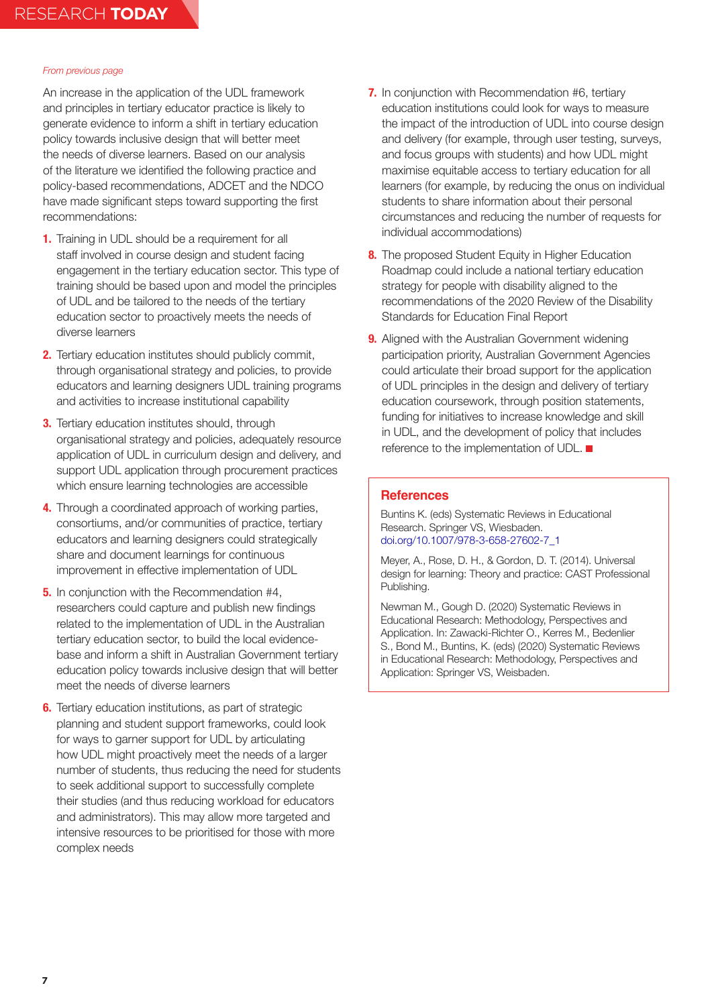An increase in the application of the UDL framework and principles in tertiary educator practice is likely to generate evidence to inform a shift in tertiary education policy towards inclusive design that will better meet the needs of diverse learners. Based on our analysis of the literature we identified the following practice and policy-based recommendations, ADCET and the NDCO have made significant steps toward supporting the first recommendations:

- **1.** Training in UDL should be a requirement for all staff involved in course design and student facing engagement in the tertiary education sector. This type of training should be based upon and model the principles of UDL and be tailored to the needs of the tertiary education sector to proactively meets the needs of diverse learners
- **2.** Tertiary education institutes should publicly commit, through organisational strategy and policies, to provide educators and learning designers UDL training programs and activities to increase institutional capability
- **3.** Tertiary education institutes should, through organisational strategy and policies, adequately resource application of UDL in curriculum design and delivery, and support UDL application through procurement practices which ensure learning technologies are accessible
- **4.** Through a coordinated approach of working parties, consortiums, and/or communities of practice, tertiary educators and learning designers could strategically share and document learnings for continuous improvement in effective implementation of UDL
- **5.** In conjunction with the Recommendation #4, researchers could capture and publish new findings related to the implementation of UDL in the Australian tertiary education sector, to build the local evidencebase and inform a shift in Australian Government tertiary education policy towards inclusive design that will better meet the needs of diverse learners
- **6.** Tertiary education institutions, as part of strategic planning and student support frameworks, could look for ways to garner support for UDL by articulating how UDL might proactively meet the needs of a larger number of students, thus reducing the need for students to seek additional support to successfully complete their studies (and thus reducing workload for educators and administrators). This may allow more targeted and intensive resources to be prioritised for those with more complex needs
- **7.** In conjunction with Recommendation #6, tertiary education institutions could look for ways to measure the impact of the introduction of UDL into course design and delivery (for example, through user testing, surveys, and focus groups with students) and how UDL might maximise equitable access to tertiary education for all learners (for example, by reducing the onus on individual students to share information about their personal circumstances and reducing the number of requests for individual accommodations)
- **8.** The proposed Student Equity in Higher Education Roadmap could include a national tertiary education strategy for people with disability aligned to the recommendations of the 2020 Review of the Disability Standards for Education Final Report
- **9.** Aligned with the Australian Government widening participation priority, Australian Government Agencies could articulate their broad support for the application of UDL principles in the design and delivery of tertiary education coursework, through position statements, funding for initiatives to increase knowledge and skill in UDL, and the development of policy that includes reference to the implementation of UDL. ■

### **References**

Buntins K. (eds) Systematic Reviews in Educational Research. Springer VS, Wiesbaden. [doi.org/10.1007/978-3-658-27602-7\\_1](https://link.springer.com/chapter/10.1007/978-3-658-27602-7_1)

Meyer, A., Rose, D. H., & Gordon, D. T. (2014). Universal design for learning: Theory and practice: CAST Professional Publishing.

Newman M., Gough D. (2020) Systematic Reviews in Educational Research: Methodology, Perspectives and Application. In: Zawacki-Richter O., Kerres M., Bedenlier S., Bond M., Buntins, K. (eds) (2020) Systematic Reviews in Educational Research: Methodology, Perspectives and Application: Springer VS, Weisbaden.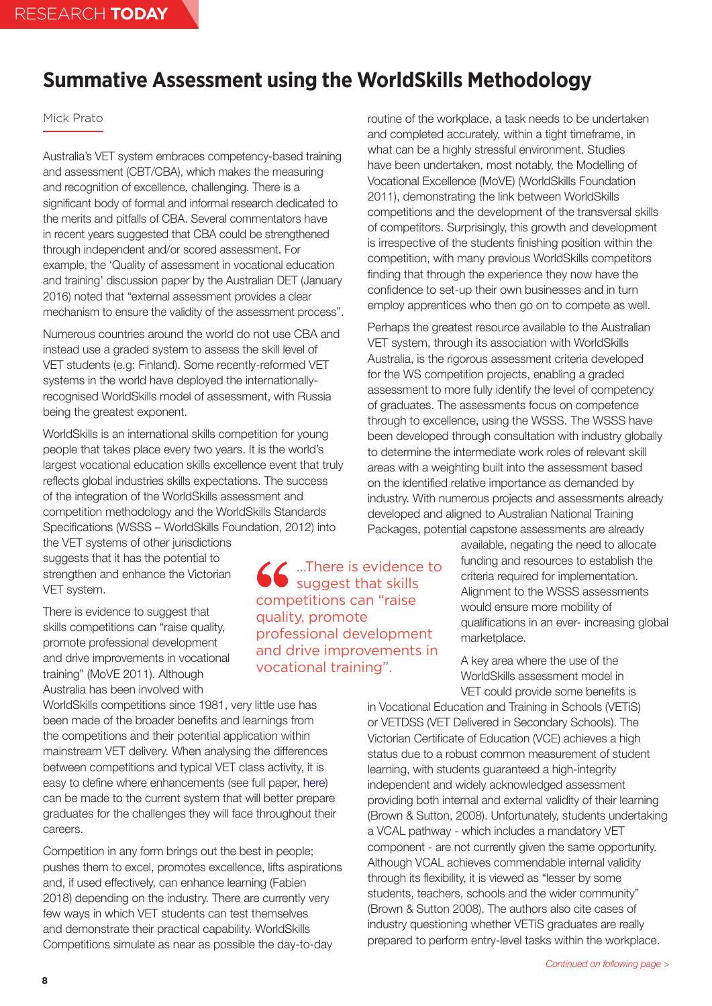# <span id="page-7-0"></span>**Summative Assessment using the WorldSkills Methodology**

## Mick Prato

Australia's VET system embraces competency-based training and assessment (CBT/CBA), which makes the measuring and recognition of excellence, challenging. There is a significant body of formal and informal research dedicated to the merits and pitfalls of CBA. Several commentators have in recent years suggested that CBA could be strengthened through independent and/or scored assessment. For example, the 'Quality of assessment in vocational education and training' discussion paper by the Australian DET (January 2016) noted that "external assessment provides a clear mechanism to ensure the validity of the assessment process".

Numerous countries around the world do not use CBA and instead use a graded system to assess the skill level of VET students (e.g: Finland). Some recently-reformed VET systems in the world have deployed the internationallyrecognised WorldSkills model of assessment, with Russia being the greatest exponent.

WorldSkills is an international skills competition for young people that takes place every two years. It is the world's largest vocational education skills excellence event that truly reflects global industries skills expectations. The success of the integration of the WorldSkills assessment and competition methodology and the WorldSkills Standards Specifications (WSSS – WorldSkills Foundation, 2012) into

the VET systems of other jurisdictions suggests that it has the potential to strengthen and enhance the Victorian VET system.

There is evidence to suggest that skills competitions can "raise quality, promote professional development and drive improvements in vocational training" (MoVE 2011). Although Australia has been involved with

WorldSkills competitions since 1981, very little use has been made of the broader benefits and learnings from the competitions and their potential application within mainstream VET delivery. When analysing the differences between competitions and typical VET class activity, it is easy to define where enhancements (see full paper, [here\)](https://www.issinstitute.org.au/wp-content/uploads/2020/05/Prato-Final.pdf) can be made to the current system that will better prepare graduates for the challenges they will face throughout their careers.

Competition in any form brings out the best in people; pushes them to excel, promotes excellence, lifts aspirations and, if used effectively, can enhance learning (Fabien 2018) depending on the industry. There are currently very few ways in which VET students can test themselves and demonstrate their practical capability. WorldSkills Competitions simulate as near as possible the day-to-day

routine of the workplace, a task needs to be undertaken and completed accurately, within a tight timeframe, in what can be a highly stressful environment. Studies have been undertaken, most notably, the Modelling of Vocational Excellence (MoVE) (WorldSkills Foundation 2011), demonstrating the link between WorldSkills competitions and the development of the transversal skills of competitors. Surprisingly, this growth and development is irrespective of the students finishing position within the competition, with many previous WorldSkills competitors finding that through the experience they now have the confidence to set-up their own businesses and in turn employ apprentices who then go on to compete as well.

Perhaps the greatest resource available to the Australian VET system, through its association with WorldSkills Australia, is the rigorous assessment criteria developed for the WS competition projects, enabling a graded assessment to more fully identify the level of competency of graduates. The assessments focus on competence through to excellence, using the WSSS. The WSSS have been developed through consultation with industry globally to determine the intermediate work roles of relevant skill areas with a weighting built into the assessment based on the identified relative importance as demanded by industry. With numerous projects and assessments already developed and aligned to Australian National Training Packages, potential capstone assessments are already

> available, negating the need to allocate funding and resources to establish the criteria required for implementation. Alignment to the WSSS assessments would ensure more mobility of qualifications in an ever- increasing global marketplace.

A key area where the use of the WorldSkills assessment model in VET could provide some benefits is

in Vocational Education and Training in Schools (VETiS) or VETDSS (VET Delivered in Secondary Schools). The Victorian Certificate of Education (VCE) achieves a high status due to a robust common measurement of student learning, with students guaranteed a high-integrity independent and widely acknowledged assessment providing both internal and external validity of their learning (Brown & Sutton, 2008). Unfortunately, students undertaking a VCAL pathway - which includes a mandatory VET component - are not currently given the same opportunity. Although VCAL achieves commendable internal validity through its flexibility, it is viewed as "lesser by some students, teachers, schools and the wider community" (Brown & Sutton 2008). The authors also cite cases of industry questioning whether VETiS graduates are really prepared to perform entry-level tasks within the workplace.

…There is evidence to suggest that skills competitions can "raise quality, promote professional development and drive improvements in vocational training".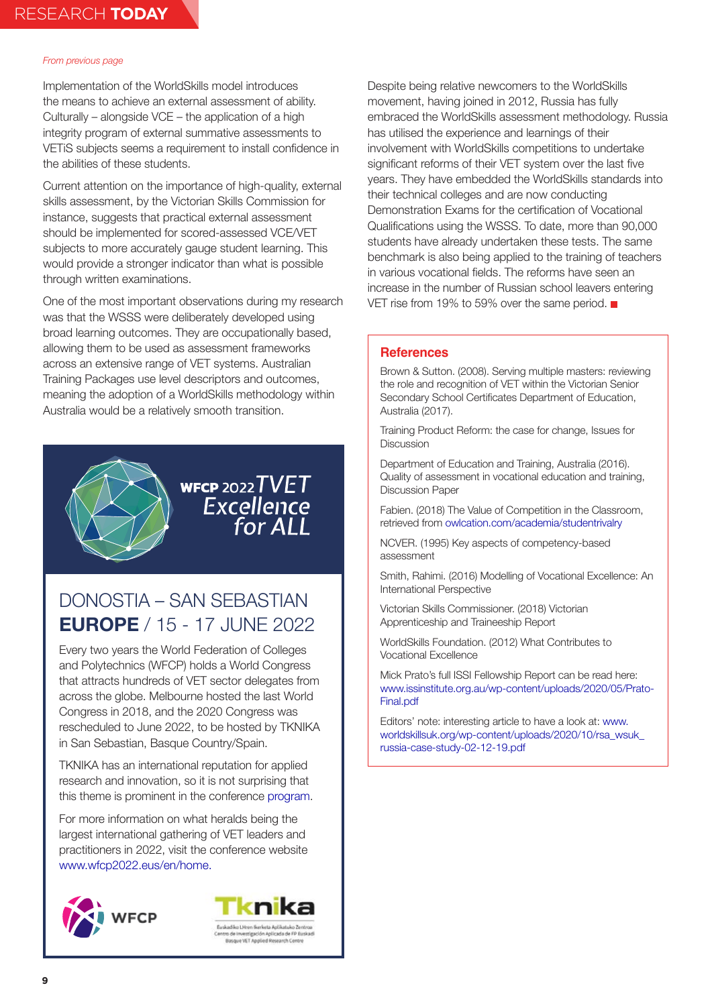Implementation of the WorldSkills model introduces the means to achieve an external assessment of ability. Culturally – alongside VCE – the application of a high integrity program of external summative assessments to VETiS subjects seems a requirement to install confidence in the abilities of these students.

Current attention on the importance of high-quality, external skills assessment, by the Victorian Skills Commission for instance, suggests that practical external assessment should be implemented for scored-assessed VCE/VET subjects to more accurately gauge student learning. This would provide a stronger indicator than what is possible through written examinations.

One of the most important observations during my research was that the WSSS were deliberately developed using broad learning outcomes. They are occupationally based, allowing them to be used as assessment frameworks across an extensive range of VET systems. Australian Training Packages use level descriptors and outcomes, meaning the adoption of a WorldSkills methodology within Australia would be a relatively smooth transition.



# WFCP 2022 $TVET$ Excellence<br>For ALL

## DONOSTIA – SAN SEBASTIAN **EUROPE** / 15 - 17 JUNE 2022

Every two years the World Federation of Colleges and Polytechnics (WFCP) holds a World Congress that attracts hundreds of VET sector delegates from across the globe. Melbourne hosted the last World Congress in 2018, and the 2020 Congress was rescheduled to June 2022, to be hosted by TKNIKA in San Sebastian, Basque Country/Spain.

TKNIKA has an international reputation for applied research and innovation, so it is not surprising that this theme is prominent in the conference [program](https://www.wfcp2022.eus/en/programme).

For more information on what heralds being the largest international gathering of VET leaders and practitioners in 2022, visit the conference website [www.wfcp2022.eus/en/home.](https://www.wfcp2022.eus/en/home)





Despite being relative newcomers to the WorldSkills movement, having joined in 2012, Russia has fully embraced the WorldSkills assessment methodology. Russia has utilised the experience and learnings of their involvement with WorldSkills competitions to undertake significant reforms of their VET system over the last five years. They have embedded the WorldSkills standards into their technical colleges and are now conducting Demonstration Exams for the certification of Vocational Qualifications using the WSSS. To date, more than 90,000 students have already undertaken these tests. The same benchmark is also being applied to the training of teachers in various vocational fields. The reforms have seen an increase in the number of Russian school leavers entering VET rise from 19% to 59% over the same period. ■

### **References**

Brown & Sutton. (2008). Serving multiple masters: reviewing the role and recognition of VET within the Victorian Senior Secondary School Certificates Department of Education, Australia (2017).

Training Product Reform: the case for change, Issues for **Discussion** 

Department of Education and Training, Australia (2016). Quality of assessment in vocational education and training, Discussion Paper

Fabien. (2018) The Value of Competition in the Classroom, retrieved from [owlcation.com/academia/studentrivalry](https://owlcation.com/academia/studentrivalry)

NCVER. (1995) Key aspects of competency-based assessment

Smith, Rahimi. (2016) Modelling of Vocational Excellence: An International Perspective

Victorian Skills Commissioner. (2018) Victorian Apprenticeship and Traineeship Report

WorldSkills Foundation. (2012) What Contributes to Vocational Excellence

Mick Prato's full ISSI Fellowship Report can be read here: [www.issinstitute.org.au/wp-content/uploads/2020/05/Prato-](https://www.issinstitute.org.au/wp-content/uploads/2020/05/Prato-Final.pdf)[Final.pdf](https://www.issinstitute.org.au/wp-content/uploads/2020/05/Prato-Final.pdf)

Editors' note: interesting article to have a look at: [www.](https://www.worldskillsuk.org/wp-content/uploads/2020/10/rsa_wsuk_russia-case-study-02-12-19.pdf) [worldskillsuk.org/wp-content/uploads/2020/10/rsa\\_wsuk\\_](https://www.worldskillsuk.org/wp-content/uploads/2020/10/rsa_wsuk_russia-case-study-02-12-19.pdf) [russia-case-study-02-12-19.pdf](https://www.worldskillsuk.org/wp-content/uploads/2020/10/rsa_wsuk_russia-case-study-02-12-19.pdf)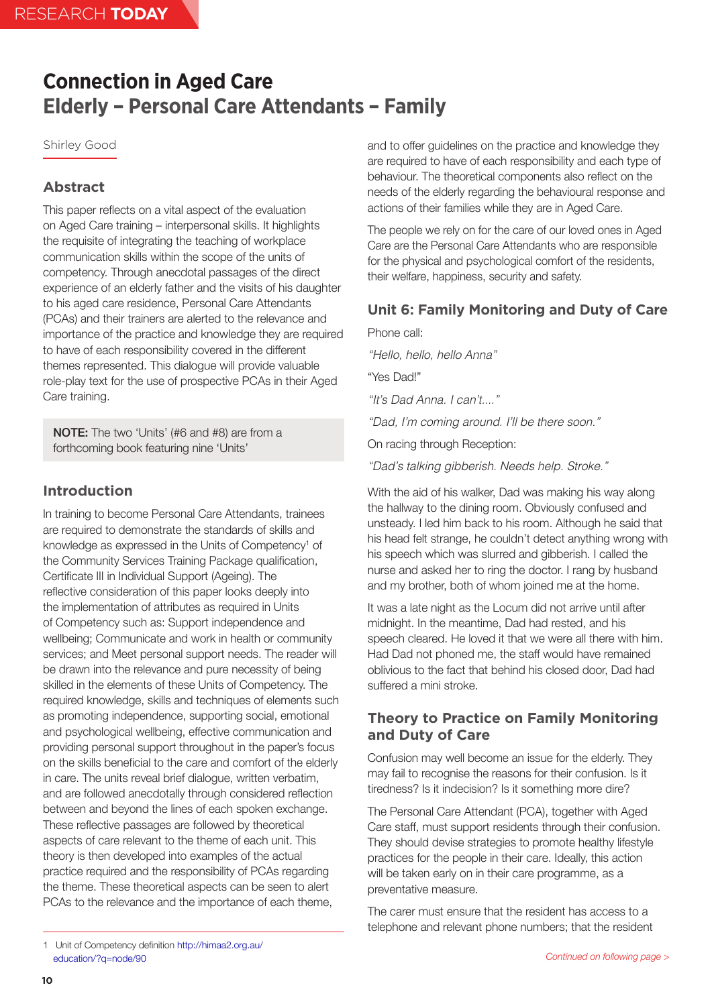# <span id="page-9-0"></span>**Connection in Aged Care Elderly – Personal Care Attendants – Family**

Shirley Good

## **Abstract**

This paper reflects on a vital aspect of the evaluation on Aged Care training – interpersonal skills. It highlights the requisite of integrating the teaching of workplace communication skills within the scope of the units of competency. Through anecdotal passages of the direct experience of an elderly father and the visits of his daughter to his aged care residence, Personal Care Attendants (PCAs) and their trainers are alerted to the relevance and importance of the practice and knowledge they are required to have of each responsibility covered in the different themes represented. This dialogue will provide valuable role-play text for the use of prospective PCAs in their Aged Care training.

NOTE: The two 'Units' (#6 and #8) are from a forthcoming book featuring nine 'Units'

## **Introduction**

In training to become Personal Care Attendants, trainees are required to demonstrate the standards of skills and knowledge as expressed in the Units of Competency<sup>1</sup> of the Community Services Training Package qualification, Certificate III in Individual Support (Ageing). The reflective consideration of this paper looks deeply into the implementation of attributes as required in Units of Competency such as: Support independence and wellbeing; Communicate and work in health or community services; and Meet personal support needs. The reader will be drawn into the relevance and pure necessity of being skilled in the elements of these Units of Competency. The required knowledge, skills and techniques of elements such as promoting independence, supporting social, emotional and psychological wellbeing, effective communication and providing personal support throughout in the paper's focus on the skills beneficial to the care and comfort of the elderly in care. The units reveal brief dialogue, written verbatim, and are followed anecdotally through considered reflection between and beyond the lines of each spoken exchange. These reflective passages are followed by theoretical aspects of care relevant to the theme of each unit. This theory is then developed into examples of the actual practice required and the responsibility of PCAs regarding the theme. These theoretical aspects can be seen to alert PCAs to the relevance and the importance of each theme,

and to offer guidelines on the practice and knowledge they are required to have of each responsibility and each type of behaviour. The theoretical components also reflect on the needs of the elderly regarding the behavioural response and actions of their families while they are in Aged Care.

The people we rely on for the care of our loved ones in Aged Care are the Personal Care Attendants who are responsible for the physical and psychological comfort of the residents, their welfare, happiness, security and safety.

## **Unit 6: Family Monitoring and Duty of Care**

Phone call: *"Hello, hello, hello Anna"* "Yes Dad!" *"It's Dad Anna. I can't...." "Dad, I'm coming around. I'll be there soon."* On racing through Reception: *"Dad's talking gibberish. Needs help. Stroke."*

With the aid of his walker, Dad was making his way along the hallway to the dining room. Obviously confused and unsteady. I led him back to his room. Although he said that his head felt strange, he couldn't detect anything wrong with his speech which was slurred and gibberish. I called the nurse and asked her to ring the doctor. I rang by husband and my brother, both of whom joined me at the home.

It was a late night as the Locum did not arrive until after midnight. In the meantime, Dad had rested, and his speech cleared. He loved it that we were all there with him. Had Dad not phoned me, the staff would have remained oblivious to the fact that behind his closed door, Dad had suffered a mini stroke.

## **Theory to Practice on Family Monitoring and Duty of Care**

Confusion may well become an issue for the elderly. They may fail to recognise the reasons for their confusion. Is it tiredness? Is it indecision? Is it something more dire?

The Personal Care Attendant (PCA), together with Aged Care staff, must support residents through their confusion. They should devise strategies to promote healthy lifestyle practices for the people in their care. Ideally, this action will be taken early on in their care programme, as a preventative measure.

The carer must ensure that the resident has access to a telephone and relevant phone numbers; that the resident

<sup>1</sup> Unit of Competency definition [http://himaa2.org.au/](http://himaa2.org.au/education/?q=node/90) [education/?q=node/90](http://himaa2.org.au/education/?q=node/90)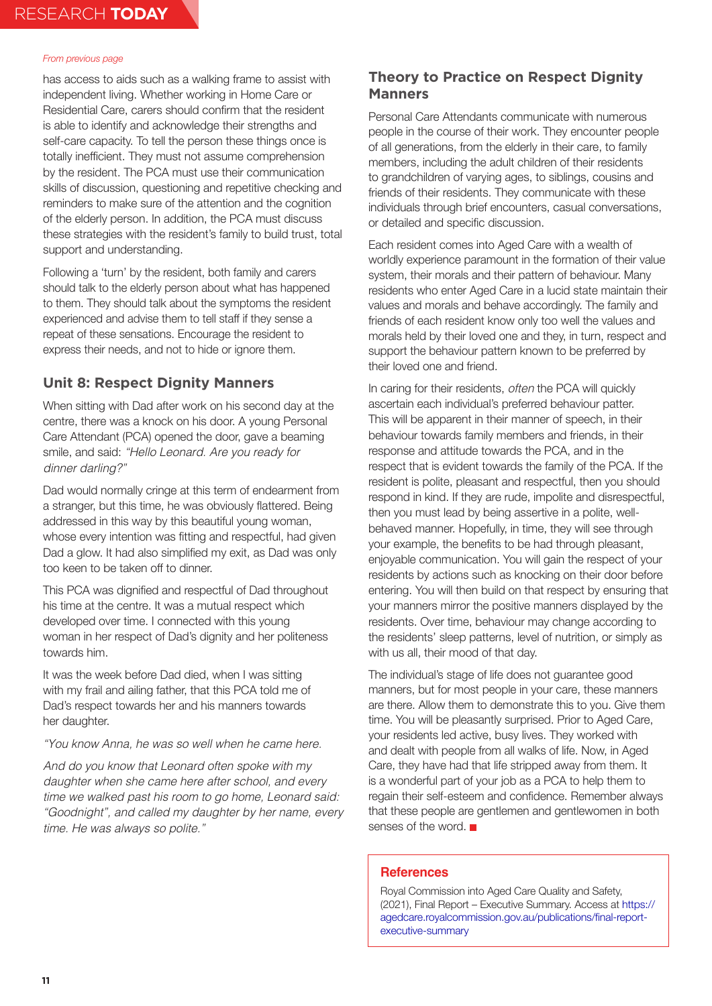has access to aids such as a walking frame to assist with independent living. Whether working in Home Care or Residential Care, carers should confirm that the resident is able to identify and acknowledge their strengths and self-care capacity. To tell the person these things once is totally inefficient. They must not assume comprehension by the resident. The PCA must use their communication skills of discussion, questioning and repetitive checking and reminders to make sure of the attention and the cognition of the elderly person. In addition, the PCA must discuss these strategies with the resident's family to build trust, total support and understanding.

Following a 'turn' by the resident, both family and carers should talk to the elderly person about what has happened to them. They should talk about the symptoms the resident experienced and advise them to tell staff if they sense a repeat of these sensations. Encourage the resident to express their needs, and not to hide or ignore them.

## **Unit 8: Respect Dignity Manners**

When sitting with Dad after work on his second day at the centre, there was a knock on his door. A young Personal Care Attendant (PCA) opened the door, gave a beaming smile, and said: *"Hello Leonard. Are you ready for dinner darling?"*

Dad would normally cringe at this term of endearment from a stranger, but this time, he was obviously flattered. Being addressed in this way by this beautiful young woman, whose every intention was fitting and respectful, had given Dad a glow. It had also simplified my exit, as Dad was only too keen to be taken off to dinner.

This PCA was dignified and respectful of Dad throughout his time at the centre. It was a mutual respect which developed over time. I connected with this young woman in her respect of Dad's dignity and her politeness towards him.

It was the week before Dad died, when I was sitting with my frail and ailing father, that this PCA told me of Dad's respect towards her and his manners towards her daughter.

*"You know Anna, he was so well when he came here.*

*And do you know that Leonard often spoke with my daughter when she came here after school, and every time we walked past his room to go home, Leonard said: "Goodnight", and called my daughter by her name, every time. He was always so polite."*

## **Theory to Practice on Respect Dignity Manners**

Personal Care Attendants communicate with numerous people in the course of their work. They encounter people of all generations, from the elderly in their care, to family members, including the adult children of their residents to grandchildren of varying ages, to siblings, cousins and friends of their residents. They communicate with these individuals through brief encounters, casual conversations, or detailed and specific discussion.

Each resident comes into Aged Care with a wealth of worldly experience paramount in the formation of their value system, their morals and their pattern of behaviour. Many residents who enter Aged Care in a lucid state maintain their values and morals and behave accordingly. The family and friends of each resident know only too well the values and morals held by their loved one and they, in turn, respect and support the behaviour pattern known to be preferred by their loved one and friend.

In caring for their residents, *often* the PCA will quickly ascertain each individual's preferred behaviour patter. This will be apparent in their manner of speech, in their behaviour towards family members and friends, in their response and attitude towards the PCA, and in the respect that is evident towards the family of the PCA. If the resident is polite, pleasant and respectful, then you should respond in kind. If they are rude, impolite and disrespectful, then you must lead by being assertive in a polite, wellbehaved manner. Hopefully, in time, they will see through your example, the benefits to be had through pleasant, enjoyable communication. You will gain the respect of your residents by actions such as knocking on their door before entering. You will then build on that respect by ensuring that your manners mirror the positive manners displayed by the residents. Over time, behaviour may change according to the residents' sleep patterns, level of nutrition, or simply as with us all, their mood of that day.

The individual's stage of life does not guarantee good manners, but for most people in your care, these manners are there. Allow them to demonstrate this to you. Give them time. You will be pleasantly surprised. Prior to Aged Care, your residents led active, busy lives. They worked with and dealt with people from all walks of life. Now, in Aged Care, they have had that life stripped away from them. It is a wonderful part of your job as a PCA to help them to regain their self-esteem and confidence. Remember always that these people are gentlemen and gentlewomen in both senses of the word.

### **References**

Royal Commission into Aged Care Quality and Safety, (2021), Final Report – Executive Summary. Access at [https://](https://agedcare.royalcommission.gov.au/publications/final-report-executive-summary) [agedcare.royalcommission.gov.au/publications/final-report](https://agedcare.royalcommission.gov.au/publications/final-report-executive-summary)[executive-summary](https://agedcare.royalcommission.gov.au/publications/final-report-executive-summary)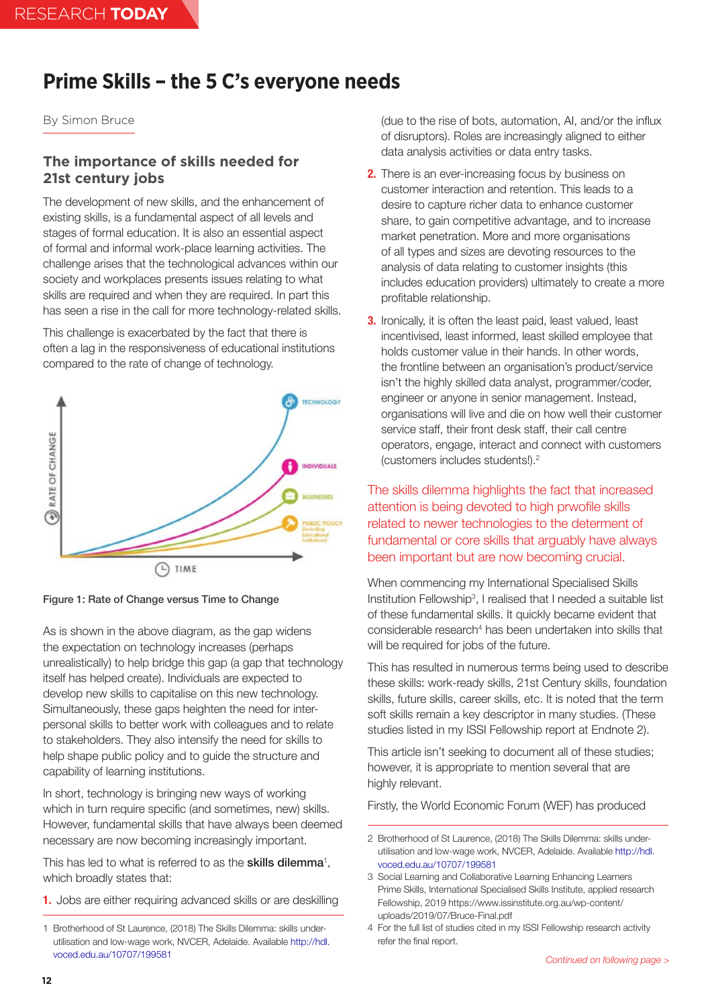# **Prime Skills – the 5 C's everyone needs**

### By Simon Bruce

## **The importance of skills needed for 21st century jobs**

The development of new skills, and the enhancement of existing skills, is a fundamental aspect of all levels and stages of formal education. It is also an essential aspect of formal and informal work-place learning activities. The challenge arises that the technological advances within our society and workplaces presents issues relating to what skills are required and when they are required. In part this has seen a rise in the call for more technology-related skills.

This challenge is exacerbated by the fact that there is often a lag in the responsiveness of educational institutions compared to the rate of change of technology.



Figure 1: Rate of Change versus Time to Change

As is shown in the above diagram, as the gap widens the expectation on technology increases (perhaps unrealistically) to help bridge this gap (a gap that technology itself has helped create). Individuals are expected to develop new skills to capitalise on this new technology. Simultaneously, these gaps heighten the need for interpersonal skills to better work with colleagues and to relate to stakeholders. They also intensify the need for skills to help shape public policy and to guide the structure and capability of learning institutions.

In short, technology is bringing new ways of working which in turn require specific (and sometimes, new) skills. However, fundamental skills that have always been deemed necessary are now becoming increasingly important.

This has led to what is referred to as the **skills dilemma**<sup>1</sup>, which broadly states that:

**1.** Jobs are either requiring advanced skills or are deskilling

(due to the rise of bots, automation, AI, and/or the influx of disruptors). Roles are increasingly aligned to either data analysis activities or data entry tasks.

- **2.** There is an ever-increasing focus by business on customer interaction and retention. This leads to a desire to capture richer data to enhance customer share, to gain competitive advantage, and to increase market penetration. More and more organisations of all types and sizes are devoting resources to the analysis of data relating to customer insights (this includes education providers) ultimately to create a more profitable relationship.
- **3.** Ironically, it is often the least paid, least valued, least incentivised, least informed, least skilled employee that holds customer value in their hands. In other words, the frontline between an organisation's product/service isn't the highly skilled data analyst, programmer/coder, engineer or anyone in senior management. Instead, organisations will live and die on how well their customer service staff, their front desk staff, their call centre operators, engage, interact and connect with customers (customers includes students!).2

The skills dilemma highlights the fact that increased attention is being devoted to high prwofile skills related to newer technologies to the determent of fundamental or core skills that arguably have always been important but are now becoming crucial.

When commencing my International Specialised Skills Institution Fellowship<sup>3</sup>, I realised that I needed a suitable list of these fundamental skills. It quickly became evident that considerable research<sup>4</sup> has been undertaken into skills that will be required for jobs of the future.

This has resulted in numerous terms being used to describe these skills: work-ready skills, 21st Century skills, foundation skills, future skills, career skills, etc. It is noted that the term soft skills remain a key descriptor in many studies. (These studies listed in my ISSI Fellowship report at Endnote 2).

This article isn't seeking to document all of these studies; however, it is appropriate to mention several that are highly relevant.

Firstly, the World Economic Forum (WEF) has produced

<sup>1</sup> Brotherhood of St Laurence, (2018) The Skills Dilemma: skills underutilisation and low-wage work, NVCER, Adelaide. Available [http://hdl.](http://hdl.voced.edu.au/10707/199581) [voced.edu.au/10707/199581](http://hdl.voced.edu.au/10707/199581)

<sup>2</sup> Brotherhood of St Laurence, (2018) The Skills Dilemma: skills underutilisation and low-wage work, NVCER, Adelaide. Available [http://hdl.](http://hdl.voced.edu.au/10707/199581) [voced.edu.au/10707/199581](http://hdl.voced.edu.au/10707/199581)

<sup>3</sup> Social Learning and Collaborative Learning Enhancing Learners Prime Skills, International Specialised Skills Institute, applied research Fellowship, 2019 [https://www.issinstitute.org.au/wp-content/](https://www.issinstitute.org.au/wp-content/uploads/2019/07/Bruce-Final.pdf) [uploads/2019/07/Bruce-Final.pdf](https://www.issinstitute.org.au/wp-content/uploads/2019/07/Bruce-Final.pdf)

<sup>4</sup> For the full list of studies cited in my ISSI Fellowship research activity refer the final report.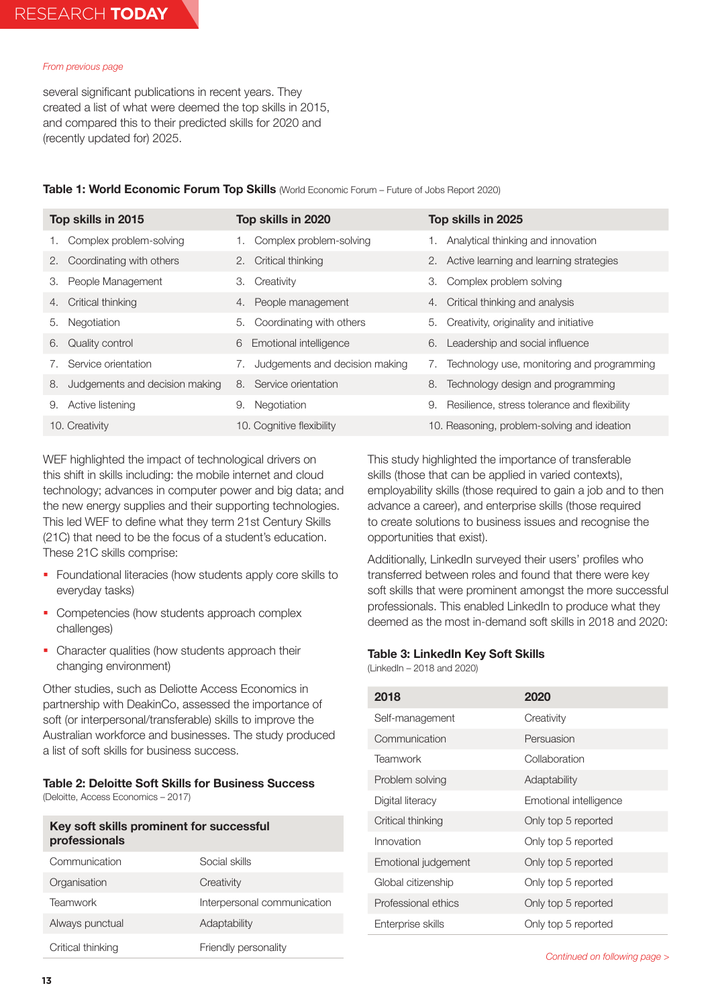several significant publications in recent years. They created a list of what were deemed the top skills in 2015, and compared this to their predicted skills for 2020 and (recently updated for) 2025.

|  | Table 1: World Economic Forum Top Skills (World Economic Forum - Future of Jobs Report 2020) |
|--|----------------------------------------------------------------------------------------------|
|--|----------------------------------------------------------------------------------------------|

| Top skills in 2015                   | Top skills in 2020                   | Top skills in 2025                                       |
|--------------------------------------|--------------------------------------|----------------------------------------------------------|
| Complex problem-solving<br>1.        | Complex problem-solving              | Analytical thinking and innovation                       |
| Coordinating with others<br>2.       | 2. Critical thinking                 | 2. Active learning and learning strategies               |
| People Management<br>3.              | Creativity<br>3.                     | Complex problem solving<br>З.                            |
| Critical thinking<br>4.              | 4. People management                 | Critical thinking and analysis<br>4.                     |
| Negotiation<br>5.                    | Coordinating with others<br>5.       | Creativity, originality and initiative<br>5.             |
| Quality control<br>6.                | Emotional intelligence<br>6          | Leadership and social influence<br>6.                    |
| Service orientation<br>7.            | Judgements and decision making<br>7. | Technology use, monitoring and programming<br>$\sqrt{ }$ |
| Judgements and decision making<br>8. | 8. Service orientation               | Technology design and programming<br>8.                  |
| Active listening<br>9.               | Negotiation<br>9.                    | Resilience, stress tolerance and flexibility<br>9.       |
| 10. Creativity                       | 10. Cognitive flexibility            | 10. Reasoning, problem-solving and ideation              |

WEF highlighted the impact of technological drivers on this shift in skills including: the mobile internet and cloud technology; advances in computer power and big data; and the new energy supplies and their supporting technologies. This led WEF to define what they term 21st Century Skills (21C) that need to be the focus of a student's education. These 21C skills comprise:

- **Foundational literacies (how students apply core skills to** everyday tasks)
- Competencies (how students approach complex challenges)
- Character qualities (how students approach their changing environment)

Other studies, such as Deliotte Access Economics in partnership with DeakinCo, assessed the importance of soft (or interpersonal/transferable) skills to improve the Australian workforce and businesses. The study produced a list of soft skills for business success.

### **Table 2: Deloitte Soft Skills for Business Success**

(Deloitte, Access Economics – 2017)

## **Key soft skills prominent for successful professionals**

| Communication     | Social skills               |
|-------------------|-----------------------------|
| Organisation      | Creativity                  |
| <b>Teamwork</b>   | Interpersonal communication |
| Always punctual   | Adaptability                |
| Critical thinking | Friendly personality        |

This study highlighted the importance of transferable skills (those that can be applied in varied contexts), employability skills (those required to gain a job and to then advance a career), and enterprise skills (those required to create solutions to business issues and recognise the opportunities that exist).

Additionally, LinkedIn surveyed their users' profiles who transferred between roles and found that there were key soft skills that were prominent amongst the more successful professionals. This enabled LinkedIn to produce what they deemed as the most in-demand soft skills in 2018 and 2020:

### **Table 3: LinkedIn Key Soft Skills**

(LinkedIn – 2018 and 2020)

| 2018                | 2020                   |
|---------------------|------------------------|
| Self-management     | Creativity             |
| Communication       | Persuasion             |
| Teamwork            | Collaboration          |
| Problem solving     | Adaptability           |
| Digital literacy    | Emotional intelligence |
| Critical thinking   | Only top 5 reported    |
| Innovation          | Only top 5 reported    |
| Emotional judgement | Only top 5 reported    |
| Global citizenship  | Only top 5 reported    |
| Professional ethics | Only top 5 reported    |
| Enterprise skills   | Only top 5 reported    |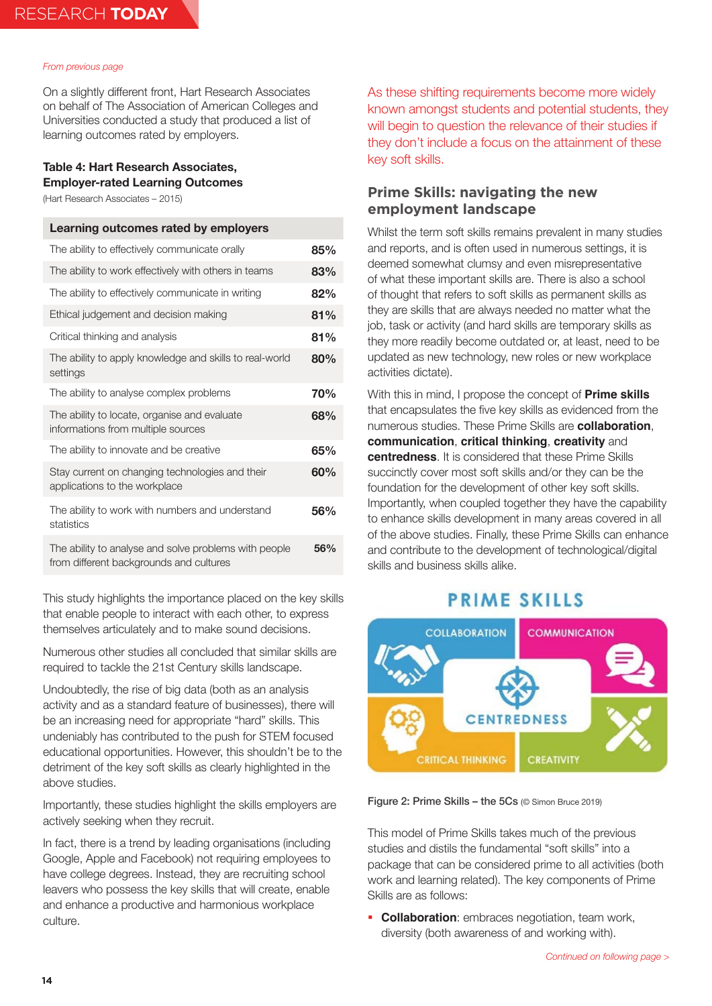On a slightly different front, Hart Research Associates on behalf of The Association of American Colleges and Universities conducted a study that produced a list of learning outcomes rated by employers.

### **Table 4: Hart Research Associates, Employer-rated Learning Outcomes**

(Hart Research Associates – 2015)

| Learning outcomes rated by employers                                                             |     |
|--------------------------------------------------------------------------------------------------|-----|
| The ability to effectively communicate orally                                                    | 85% |
| The ability to work effectively with others in teams                                             | 83% |
| The ability to effectively communicate in writing                                                | 82% |
| Ethical judgement and decision making                                                            | 81% |
| Critical thinking and analysis                                                                   | 81% |
| The ability to apply knowledge and skills to real-world<br>settings                              | 80% |
| The ability to analyse complex problems                                                          | 70% |
| The ability to locate, organise and evaluate<br>informations from multiple sources               | 68% |
| The ability to innovate and be creative                                                          | 65% |
| Stay current on changing technologies and their<br>applications to the workplace                 | 60% |
| The ability to work with numbers and understand<br>statistics                                    | 56% |
| The ability to analyse and solve problems with people<br>from different backgrounds and cultures | 56% |

This study highlights the importance placed on the key skills that enable people to interact with each other, to express themselves articulately and to make sound decisions.

Numerous other studies all concluded that similar skills are required to tackle the 21st Century skills landscape.

Undoubtedly, the rise of big data (both as an analysis activity and as a standard feature of businesses), there will be an increasing need for appropriate "hard" skills. This undeniably has contributed to the push for STEM focused educational opportunities. However, this shouldn't be to the detriment of the key soft skills as clearly highlighted in the above studies.

Importantly, these studies highlight the skills employers are actively seeking when they recruit.

In fact, there is a trend by leading organisations (including Google, Apple and Facebook) not requiring employees to have college degrees. Instead, they are recruiting school leavers who possess the key skills that will create, enable and enhance a productive and harmonious workplace culture.

As these shifting requirements become more widely known amongst students and potential students, they will begin to question the relevance of their studies if they don't include a focus on the attainment of these key soft skills.

## **Prime Skills: navigating the new employment landscape**

Whilst the term soft skills remains prevalent in many studies and reports, and is often used in numerous settings, it is deemed somewhat clumsy and even misrepresentative of what these important skills are. There is also a school of thought that refers to soft skills as permanent skills as they are skills that are always needed no matter what the job, task or activity (and hard skills are temporary skills as they more readily become outdated or, at least, need to be updated as new technology, new roles or new workplace activities dictate).

With this in mind, I propose the concept of **Prime skills** that encapsulates the five key skills as evidenced from the numerous studies. These Prime Skills are **collaboration**, **communication**, **critical thinking**, **creativity** and **centredness**. It is considered that these Prime Skills succinctly cover most soft skills and/or they can be the foundation for the development of other key soft skills. Importantly, when coupled together they have the capability to enhance skills development in many areas covered in all of the above studies. Finally, these Prime Skills can enhance and contribute to the development of technological/digital skills and business skills alike.

## **PRIME SKILLS**



Figure 2: Prime Skills – the 5Cs (© Simon Bruce 2019)

This model of Prime Skills takes much of the previous studies and distils the fundamental "soft skills" into a package that can be considered prime to all activities (both work and learning related). The key components of Prime Skills are as follows:

**Collaboration**: embraces negotiation, team work, diversity (both awareness of and working with).